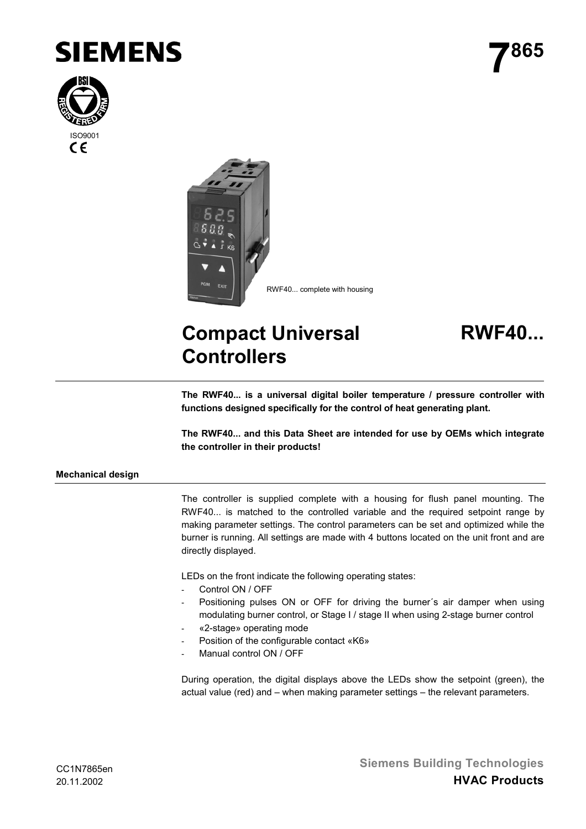





## **Compact Universal Controllers**



**The RWF40... is a universal digital boiler temperature / pressure controller with functions designed specifically for the control of heat generating plant.**

**The RWF40... and this Data Sheet are intended for use by OEMs which integrate the controller in their products!**

## **Mechanical design**

The controller is supplied complete with a housing for flush panel mounting. The RWF40... is matched to the controlled variable and the required setpoint range by making parameter settings. The control parameters can be set and optimized while the burner is running. All settings are made with 4 buttons located on the unit front and are directly displayed.

LEDs on the front indicate the following operating states:

- Control ON / OFF
- Positioning pulses ON or OFF for driving the burner's air damper when using modulating burner control, or Stage I / stage II when using 2-stage burner control
- «2-stage» operating mode
- Position of the configurable contact «K6»
- Manual control ON / OFF

During operation, the digital displays above the LEDs show the setpoint (green), the actual value (red) and – when making parameter settings – the relevant parameters.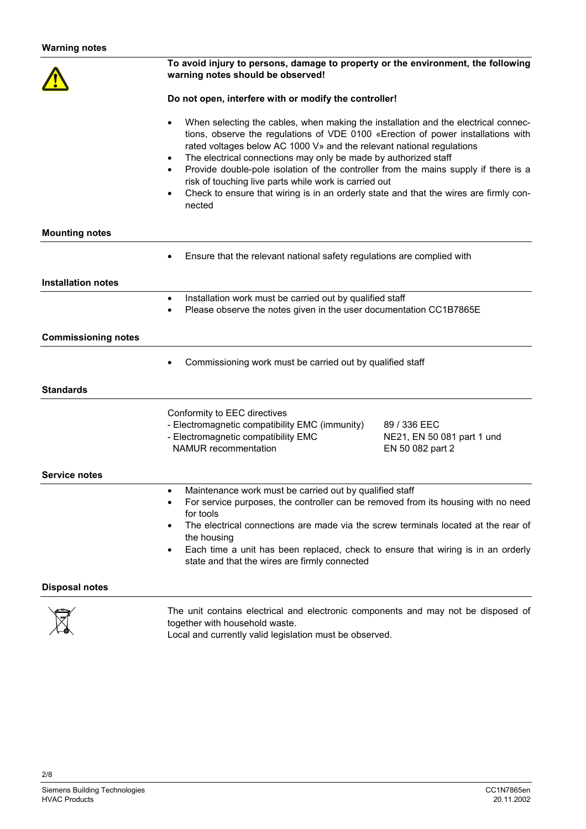|                            | To avoid injury to persons, damage to property or the environment, the following<br>warning notes should be observed!                                                                                                                                                                                                                                                                                                                                                                                                                                                                                                     |                                                                |  |
|----------------------------|---------------------------------------------------------------------------------------------------------------------------------------------------------------------------------------------------------------------------------------------------------------------------------------------------------------------------------------------------------------------------------------------------------------------------------------------------------------------------------------------------------------------------------------------------------------------------------------------------------------------------|----------------------------------------------------------------|--|
|                            | Do not open, interfere with or modify the controller!                                                                                                                                                                                                                                                                                                                                                                                                                                                                                                                                                                     |                                                                |  |
|                            | When selecting the cables, when making the installation and the electrical connec-<br>$\bullet$<br>tions, observe the regulations of VDE 0100 «Erection of power installations with<br>rated voltages below AC 1000 V» and the relevant national regulations<br>The electrical connections may only be made by authorized staff<br>$\bullet$<br>Provide double-pole isolation of the controller from the mains supply if there is a<br>$\bullet$<br>risk of touching live parts while work is carried out<br>Check to ensure that wiring is in an orderly state and that the wires are firmly con-<br>$\bullet$<br>nected |                                                                |  |
| <b>Mounting notes</b>      |                                                                                                                                                                                                                                                                                                                                                                                                                                                                                                                                                                                                                           |                                                                |  |
|                            | Ensure that the relevant national safety regulations are complied with                                                                                                                                                                                                                                                                                                                                                                                                                                                                                                                                                    |                                                                |  |
| <b>Installation notes</b>  |                                                                                                                                                                                                                                                                                                                                                                                                                                                                                                                                                                                                                           |                                                                |  |
|                            | Installation work must be carried out by qualified staff<br>$\bullet$<br>Please observe the notes given in the user documentation CC1B7865E<br>٠                                                                                                                                                                                                                                                                                                                                                                                                                                                                          |                                                                |  |
| <b>Commissioning notes</b> |                                                                                                                                                                                                                                                                                                                                                                                                                                                                                                                                                                                                                           |                                                                |  |
|                            | Commissioning work must be carried out by qualified staff                                                                                                                                                                                                                                                                                                                                                                                                                                                                                                                                                                 |                                                                |  |
| <b>Standards</b>           |                                                                                                                                                                                                                                                                                                                                                                                                                                                                                                                                                                                                                           |                                                                |  |
|                            | Conformity to EEC directives<br>- Electromagnetic compatibility EMC (immunity)<br>- Electromagnetic compatibility EMC<br>NAMUR recommentation                                                                                                                                                                                                                                                                                                                                                                                                                                                                             | 89 / 336 EEC<br>NE21, EN 50 081 part 1 und<br>EN 50 082 part 2 |  |
| <b>Service notes</b>       | Maintenance work must be carried out by qualified staff<br>$\bullet$                                                                                                                                                                                                                                                                                                                                                                                                                                                                                                                                                      |                                                                |  |
|                            | For service purposes, the controller can be removed from its housing with no need<br>٠<br>for tools<br>The electrical connections are made via the screw terminals located at the rear of<br>$\bullet$<br>the housing<br>Each time a unit has been replaced, check to ensure that wiring is in an orderly<br>$\bullet$<br>state and that the wires are firmly connected                                                                                                                                                                                                                                                   |                                                                |  |
| <b>Disposal notes</b>      |                                                                                                                                                                                                                                                                                                                                                                                                                                                                                                                                                                                                                           |                                                                |  |
|                            | cleating and electronic components and mou not be                                                                                                                                                                                                                                                                                                                                                                                                                                                                                                                                                                         |                                                                |  |



2/8

The unit contains electrical and electronic components and may not be disposed of together with household waste.

Local and currently valid legislation must be observed.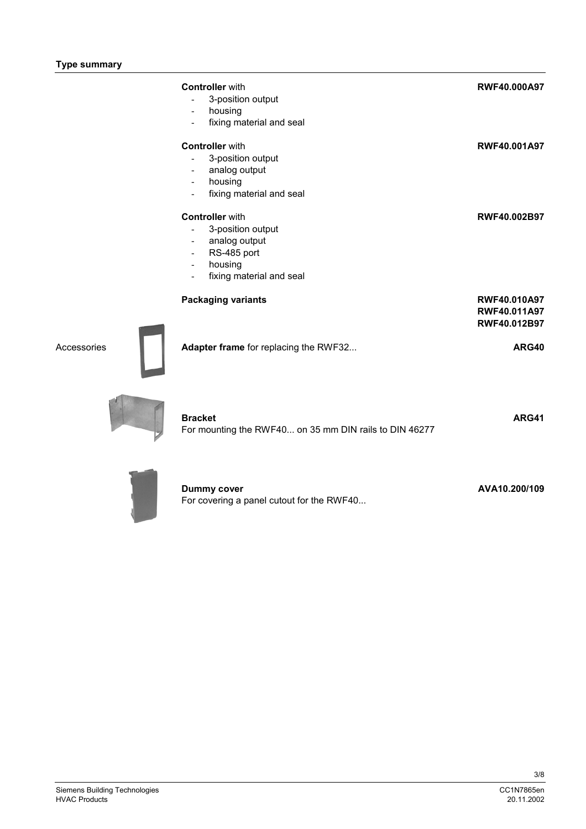|             | <b>Controller</b> with<br>3-position output<br>$\blacksquare$<br>housing<br>$\blacksquare$<br>fixing material and seal                                                   | <b>RWF40.000A97</b>                          |
|-------------|--------------------------------------------------------------------------------------------------------------------------------------------------------------------------|----------------------------------------------|
|             | <b>Controller</b> with<br>3-position output<br>analog output<br>housing<br>$\overline{\phantom{a}}$<br>fixing material and seal<br>$\blacksquare$                        | RWF40.001A97                                 |
|             | <b>Controller</b> with<br>3-position output<br>$\blacksquare$<br>analog output<br>RS-485 port<br>$\blacksquare$<br>housing<br>$\blacksquare$<br>fixing material and seal | RWF40.002B97                                 |
|             | <b>Packaging variants</b>                                                                                                                                                | RWF40.010A97<br>RWF40.011A97<br>RWF40.012B97 |
| Accessories | Adapter frame for replacing the RWF32                                                                                                                                    | ARG40                                        |
|             | <b>Bracket</b><br>For mounting the RWF40 on 35 mm DIN rails to DIN 46277                                                                                                 | ARG41                                        |
|             | <b>Dummy cover</b>                                                                                                                                                       | AVA10.200/109                                |



| Dummy cover                               |  |
|-------------------------------------------|--|
| For covering a panel cutout for the RWF40 |  |

3/8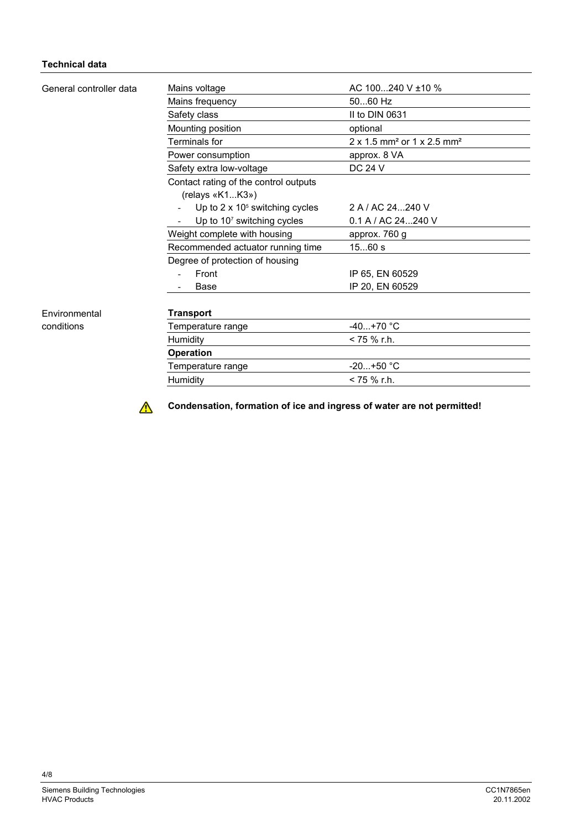## **Technical data**

| General controller data | Mains voltage                          | AC $100240$ V $\pm 10$ %                           |
|-------------------------|----------------------------------------|----------------------------------------------------|
|                         | Mains frequency                        | 5060 Hz                                            |
|                         | Safety class                           | II to DIN 0631                                     |
|                         | Mounting position                      | optional                                           |
|                         | Terminals for                          | 2 x 1.5 mm <sup>2</sup> or 1 x 2.5 mm <sup>2</sup> |
|                         | Power consumption                      | approx. 8 VA                                       |
|                         | Safety extra low-voltage               | DC 24 V                                            |
|                         | Contact rating of the control outputs  |                                                    |
|                         | (relays «K1K3»)                        |                                                    |
|                         | Up to $2 \times 10^5$ switching cycles | 2 A / AC 24240 V                                   |
|                         | Up to 10 <sup>7</sup> switching cycles | 0.1 A / AC 24240 V                                 |
|                         | Weight complete with housing           | approx. 760 g                                      |
|                         | Recommended actuator running time      | 1560 s                                             |
|                         | Degree of protection of housing        |                                                    |
|                         | Front                                  | IP 65, EN 60529                                    |
|                         | Base                                   | IP 20, EN 60529                                    |
|                         |                                        |                                                    |
| Environmental           | <b>Transport</b>                       |                                                    |
| conditions              | Temperature range                      | $-40+70$ °C                                        |
|                         | Humidity                               | < 75 % r.h.                                        |
|                         | <b>Operation</b>                       |                                                    |
|                         | Temperature range                      | $-20+50 °C$                                        |
|                         | Humidity                               | < 75 % r.h.                                        |

 $\triangle$ 

**Condensation, formation of ice and ingress of water are not permitted!**

4/8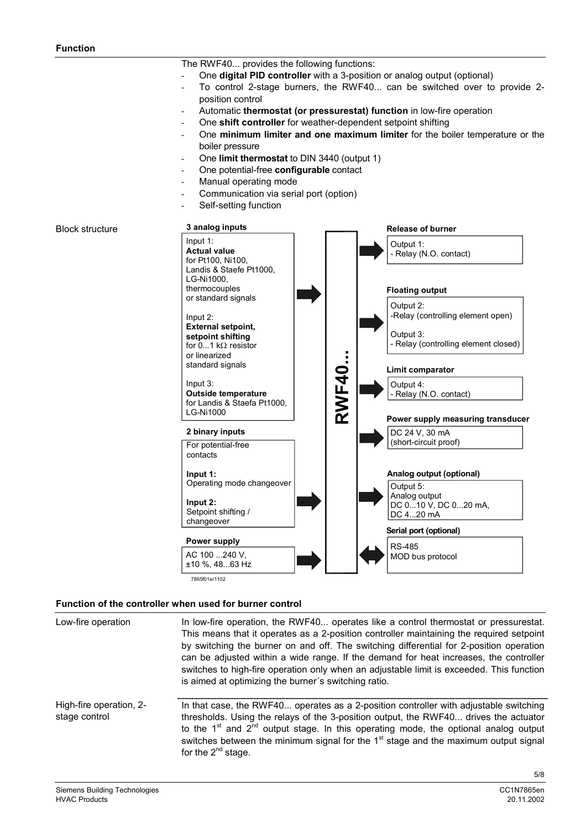The RWF40... provides the following functions:

- One **digital PID controller** with a 3-position or analog output (optional)
- To control 2-stage burners, the RWF40... can be switched over to provide 2position control
- Automatic **thermostat (or pressurestat) function** in low-fire operation
- One **shift controller** for weather-dependent setpoint shifting
- One **minimum limiter and one maximum limiter** for the boiler temperature or the boiler pressure
- One **limit thermostat** to DIN 3440 (output 1)
- One potential-free **configurable** contact
- Manual operating mode
- Communication via serial port (option)
- Self-setting function



## **Function of the controller when used for burner control**

| Low-fire operation                       | In low-fire operation, the RWF40 operates like a control thermostat or pressurestat.<br>This means that it operates as a 2-position controller maintaining the required setpoint<br>by switching the burner on and off. The switching differential for 2-position operation<br>can be adjusted within a wide range. If the demand for heat increases, the controller<br>switches to high-fire operation only when an adjustable limit is exceeded. This function<br>is aimed at optimizing the burner's switching ratio. |
|------------------------------------------|--------------------------------------------------------------------------------------------------------------------------------------------------------------------------------------------------------------------------------------------------------------------------------------------------------------------------------------------------------------------------------------------------------------------------------------------------------------------------------------------------------------------------|
| High-fire operation, 2-<br>stage control | In that case, the RWF40 operates as a 2-position controller with adjustable switching<br>thresholds. Using the relays of the 3-position output, the RWF40 drives the actuator<br>to the $1st$ and $2nd$ output stage. In this operating mode, the optional analog output<br>switches between the minimum signal for the 1 <sup>st</sup> stage and the maximum output signal<br>for the $2^{nd}$ stage.                                                                                                                   |
|                                          | 5/8                                                                                                                                                                                                                                                                                                                                                                                                                                                                                                                      |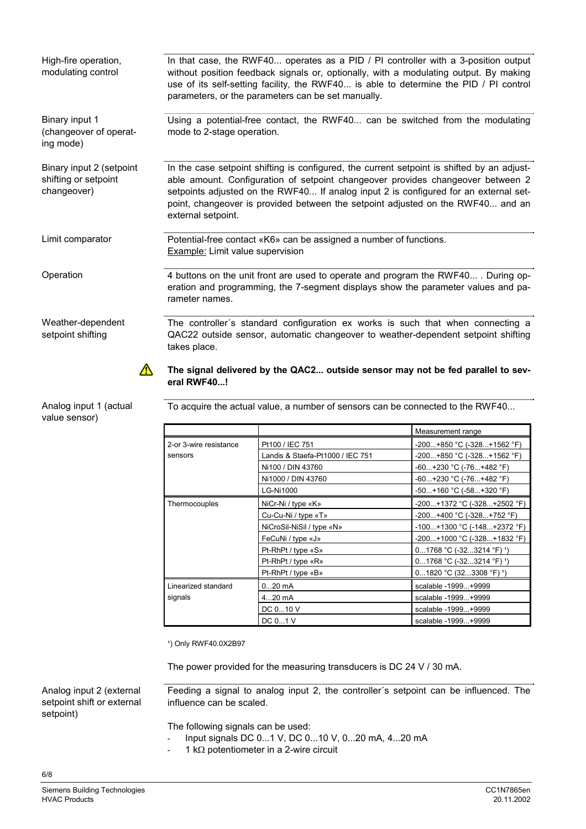| High-fire operation,<br>modulating control                      | In that case, the RWF40 operates as a PID / PI controller with a 3-position output<br>without position feedback signals or, optionally, with a modulating output. By making<br>use of its self-setting facility, the RWF40 is able to determine the PID / PI control<br>parameters, or the parameters can be set manually.                                                     |  |
|-----------------------------------------------------------------|--------------------------------------------------------------------------------------------------------------------------------------------------------------------------------------------------------------------------------------------------------------------------------------------------------------------------------------------------------------------------------|--|
| Binary input 1<br>(changeover of operat-<br>ing mode)           | Using a potential-free contact, the RWF40 can be switched from the modulating<br>mode to 2-stage operation.                                                                                                                                                                                                                                                                    |  |
| Binary input 2 (setpoint<br>shifting or setpoint<br>changeover) | In the case setpoint shifting is configured, the current setpoint is shifted by an adjust-<br>able amount. Configuration of setpoint changeover provides changeover between 2<br>setpoints adjusted on the RWF40 If analog input 2 is configured for an external set-<br>point, changeover is provided between the setpoint adjusted on the RWF40 and an<br>external setpoint. |  |
| Limit comparator                                                | Potential-free contact «K6» can be assigned a number of functions.<br>Example: Limit value supervision                                                                                                                                                                                                                                                                         |  |
| Operation                                                       | 4 buttons on the unit front are used to operate and program the RWF40 . During op-<br>eration and programming, the 7-segment displays show the parameter values and pa-<br>rameter names.                                                                                                                                                                                      |  |
| Weather-dependent<br>setpoint shifting                          | The controller's standard configuration ex works is such that when connecting a<br>QAC22 outside sensor, automatic changeover to weather-dependent setpoint shifting<br>takes place.                                                                                                                                                                                           |  |
|                                                                 | The signal delivered by the QAC2 outside sensor may not be fed parallel to sev-<br>eral RWF40!                                                                                                                                                                                                                                                                                 |  |

Analog input 1 (actual value sensor)

To acquire the actual value, a number of sensors can be connected to the RWF40...

|                        |                                  | Measurement range                      |
|------------------------|----------------------------------|----------------------------------------|
| 2-or 3-wire resistance | Pt100 / IEC 751                  | $-200+850$ °C ( $-328+1562$ °F)        |
| sensors                | Landis & Staefa-Pt1000 / IEC 751 | $-200+850$ °C ( $-328+1562$ °F)        |
|                        | Ni100 / DIN 43760                | $-60+230$ °C (-76+482 °F)              |
|                        | Ni1000 / DIN 43760               | $-60+230$ °C (-76+482 °F)              |
|                        | <b>LG-Ni1000</b>                 | $-50+160$ °C ( $-58+320$ °F)           |
| Thermocouples          | NiCr-Ni / type «K»               | -200+1372 °C (-328+2502 °F)            |
|                        | Cu-Cu-Ni / type «T»              | $-200+400$ °C ( $-328+752$ °F)         |
|                        | NiCroSil-NiSil / type «N»        | $-100+1300$ °C ( $-148+2372$ °F)       |
|                        | FeCuNi / type «J»                | $-200+1000$ °C ( $-328+1832$ °F)       |
|                        | Pt-RhPt / type «S»               | $01768$ °C (-323214 °F) <sup>1</sup> ) |
|                        | Pt-RhPt / type «R»               | $01768$ °C (-323214 °F) 1)             |
|                        | Pt-RhPt / type «B»               | $01820$ °C (323308 °F) $'$ )           |
| Linearized standard    | $020$ mA                         | scalable -1999+9999                    |
| signals                | 420 mA                           | scalable -1999+9999                    |
|                        | DC 010 V                         | scalable -1999+9999                    |
|                        | DC 01 V                          | scalable -1999+9999                    |

<sup>1</sup>) Only RWF40.0X2B97

The power provided for the measuring transducers is DC 24 V / 30 mA.

Feeding a signal to analog input 2, the controller´s setpoint can be influenced. The influence can be scaled.

The following signals can be used:

- Input signals DC 0...1 V, DC 0...10 V, 0...20 mA, 4...20 mA
- $-1$  k $\Omega$  potentiometer in a 2-wire circuit

Analog input 2 (external setpoint shift or external

6/8

setpoint)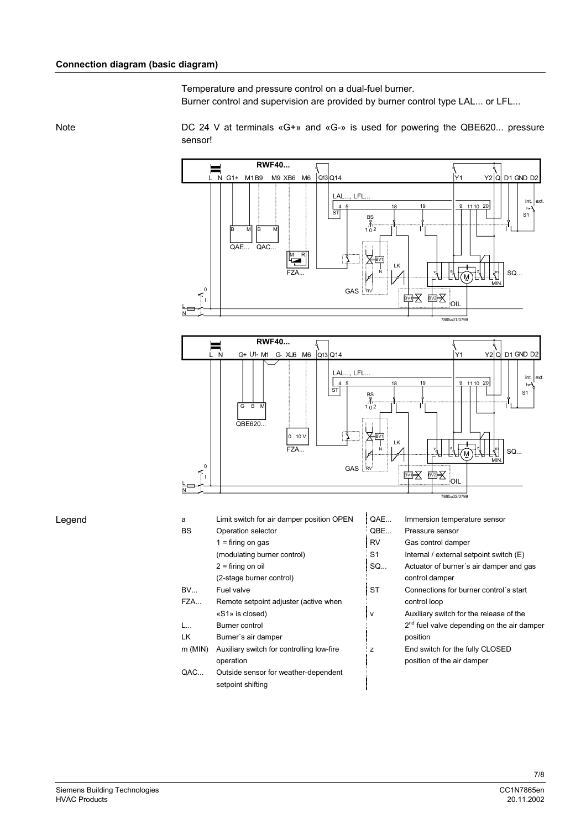Temperature and pressure control on a dual-fuel burner. Burner control and supervision are provided by burner control type LAL... or LFL...

Note

DC 24 V at terminals «G+» and «G-» is used for powering the QBE620... pressure sensor!





Legend

| a            | Limit switch for air damper position OPEN | QAE       | Immersion temperature sensor                |
|--------------|-------------------------------------------|-----------|---------------------------------------------|
| <b>BS</b>    | Operation selector                        | QBE       | Pressure sensor                             |
|              | $1 =$ firing on gas                       | <b>RV</b> | Gas control damper                          |
|              | (modulating burner control)               | S1        | Internal / external setpoint swite          |
|              | $2 =$ firing on oil                       | SO        | Actuator of burner's air dampe              |
|              | (2-stage burner control)                  |           | control damper                              |
| BV           | Fuel valve                                | <b>ST</b> | Connections for burner control              |
| FZA          | Remote setpoint adjuster (active when     |           | control loop                                |
|              | «S1» is closed)                           | v         | Auxiliary switch for the release            |
| $L_{\cdots}$ | Burner control                            |           | 2 <sup>nd</sup> fuel valve depending on the |
| LK           | Burner's air damper                       |           | position                                    |
| $m$ (MIN)    | Auxiliary switch for controlling low-fire | z         | End switch for the fully CLOSE              |
|              | operation                                 |           | position of the air damper                  |
| QAC          | Outside sensor for weather-dependent      |           |                                             |
|              | setpoint shifting                         |           |                                             |

Internal / external setpoint switch  $(E)$ 

Actuator of burner's air damper and gas (2-stage burner control) control damper

- Connections for burner control's start control loop
	- Auxiliary switch for the release of the 2<sup>nd</sup> fuel valve depending on the air damper position
- End switch for the fully CLOSED position of the air damper